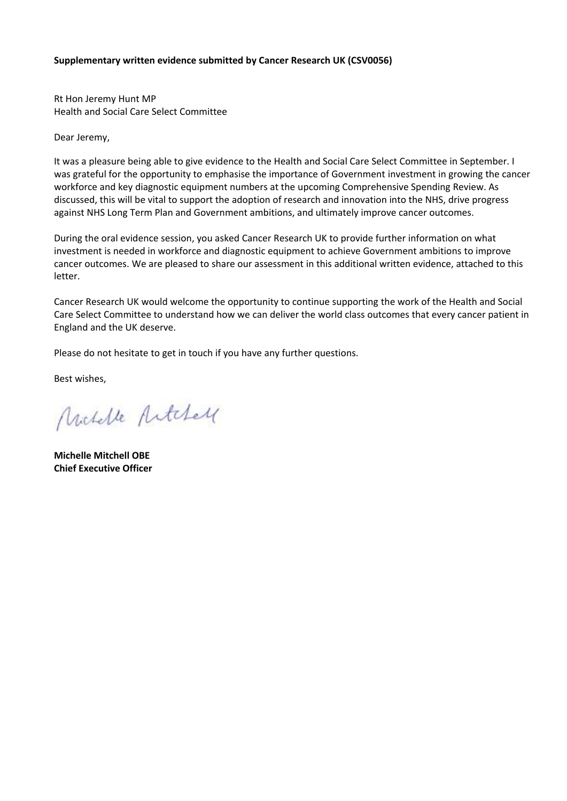### **Supplementary written evidence submitted by Cancer Research UK (CSV0056)**

Rt Hon Jeremy Hunt MP Health and Social Care Select Committee

Dear Jeremy,

It was a pleasure being able to give evidence to the Health and Social Care Select Committee in September. I was grateful for the opportunity to emphasise the importance of Government investment in growing the cancer workforce and key diagnostic equipment numbers at the upcoming Comprehensive Spending Review. As discussed, this will be vital to support the adoption of research and innovation into the NHS, drive progress against NHS Long Term Plan and Government ambitions, and ultimately improve cancer outcomes.

During the oral evidence session, you asked Cancer Research UK to provide further information on what investment is needed in workforce and diagnostic equipment to achieve Government ambitions to improve cancer outcomes. We are pleased to share our assessment in this additional written evidence, attached to this letter.

Cancer Research UK would welcome the opportunity to continue supporting the work of the Health and Social Care Select Committee to understand how we can deliver the world class outcomes that every cancer patient in England and the UK deserve.

Please do not hesitate to get in touch if you have any further questions.

Best wishes,

Michelle Articles

**Michelle Mitchell OBE Chief Executive Officer**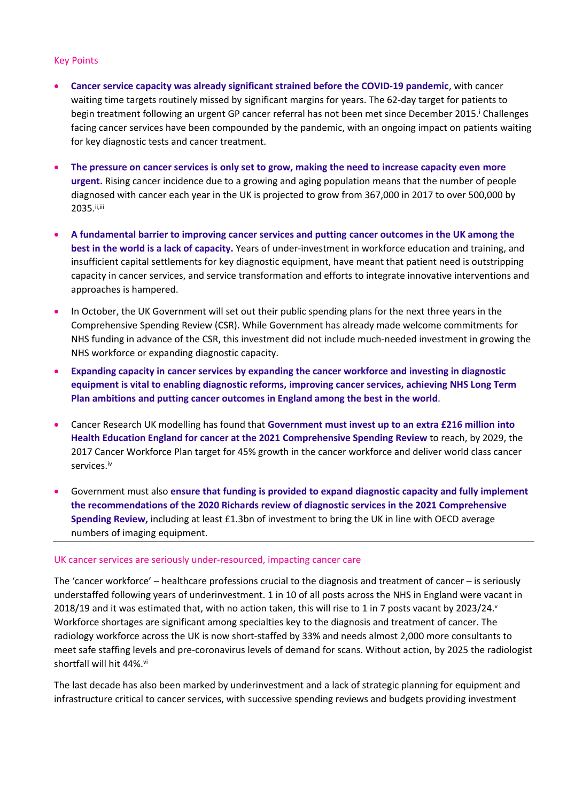#### Key Points

- **Cancer service capacity was already significant strained before the COVID-19 pandemic**, with cancer waiting time targets routinely missed by significant margins for years. The 62-day target for patients to begin treatment following an urgent GP cancer referral has not been met since December 2015.<sup>i</sup> Challenges facing cancer services have been compounded by the pandemic, with an ongoing impact on patients waiting for key diagnostic tests and cancer treatment.
- The pressure on cancer services is only set to grow, making the need to increase capacity even more **urgent.** Rising cancer incidence due to a growing and aging population means that the number of people diagnosed with cancer each year in the UK is projected to grow from 367,000 in 2017 to over 500,000 by 2035.ii,iii
- **A fundamental barrier to improving cancer services and putting cancer outcomes in the UK among the best in the world is a lack of capacity.** Years of under-investment in workforce education and training, and insufficient capital settlements for key diagnostic equipment, have meant that patient need is outstripping capacity in cancer services, and service transformation and efforts to integrate innovative interventions and approaches is hampered.
- In October, the UK Government will set out their public spending plans for the next three years in the Comprehensive Spending Review (CSR). While Government has already made welcome commitments for NHS funding in advance of the CSR, this investment did not include much-needed investment in growing the NHS workforce or expanding diagnostic capacity.
- **Expanding capacity in cancer services by expanding the cancer workforce and investing in diagnostic equipment is vital to enabling diagnostic reforms, improving cancer services, achieving NHS Long Term Plan ambitions and putting cancer outcomes in England among the best in the world**.
- Cancer Research UK modelling has found that **Government must invest up to an extra £216 million into Health Education England for cancer at the 2021 Comprehensive Spending Review** to reach, by 2029, the 2017 Cancer Workforce Plan target for 45% growth in the cancer workforce and deliver world class cancer services.<sup>iv</sup>
- Government must also **ensure that funding is provided to expand diagnostic capacity and fully implement the recommendations of the 2020 Richards review of diagnostic services in the 2021 Comprehensive Spending Review,** including at least £1.3bn of investment to bring the UK in line with OECD average numbers of imaging equipment.

#### UK cancer services are seriously under-resourced, impacting cancer care

The 'cancer workforce' – healthcare professions crucial to the diagnosis and treatment of cancer – is seriously understaffed following years of underinvestment. 1 in 10 of all posts across the NHS in England were vacant in 2018/19 and it was estimated that, with no action taken, this will rise to 1 in 7 posts vacant by 2023/24. $v$ Workforce shortages are significant among specialties key to the diagnosis and treatment of cancer. The radiology workforce across the UK is now short-staffed by 33% and needs almost 2,000 more consultants to meet safe staffing levels and pre-coronavirus levels of demand for scans. Without action, by 2025 the radiologist shortfall will hit 44%.vi

The last decade has also been marked by underinvestment and a lack of strategic planning for equipment and infrastructure critical to cancer services, with successive spending reviews and budgets providing investment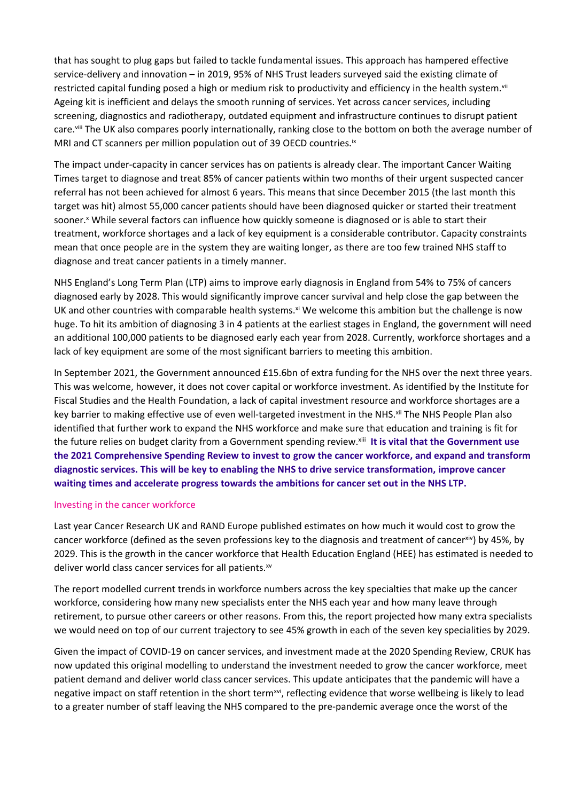that has sought to plug gaps but failed to tackle fundamental issues. This approach has hampered effective service-delivery and innovation – in 2019, 95% of NHS Trust leaders surveyed said the existing climate of restricted capital funding posed a high or medium risk to productivity and efficiency in the health system.<sup>vii</sup> Ageing kit is inefficient and delays the smooth running of services. Yet across cancer services, including screening, diagnostics and radiotherapy, outdated equipment and infrastructure continues to disrupt patient care.viii The UK also compares poorly internationally, ranking close to the bottom on both the average number of MRI and CT scanners per million population out of 39 OECD countries.<sup>ix</sup>

The impact under-capacity in cancer services has on patients is already clear. The important Cancer Waiting Times target to diagnose and treat 85% of cancer patients within two months of their urgent suspected cancer referral has not been achieved for almost 6 years. This means that since December 2015 (the last month this target was hit) almost 55,000 cancer patients should have been diagnosed quicker or started their treatment sooner.<sup>x</sup> While several factors can influence how quickly someone is diagnosed or is able to start their treatment, workforce shortages and a lack of key equipment is a considerable contributor. Capacity constraints mean that once people are in the system they are waiting longer, as there are too few trained NHS staff to diagnose and treat cancer patients in a timely manner.

NHS England's Long Term Plan (LTP) aims to improve early diagnosis in England from 54% to 75% of cancers diagnosed early by 2028. This would significantly improve cancer survival and help close the gap between the UK and other countries with comparable health systems.<sup>xi</sup> We welcome this ambition but the challenge is now huge. To hit its ambition of diagnosing 3 in 4 patients at the earliest stages in England, the government will need an additional 100,000 patients to be diagnosed early each year from 2028. Currently, workforce shortages and a lack of key equipment are some of the most significant barriers to meeting this ambition.

In September 2021, the Government announced £15.6bn of extra funding for the NHS over the next three years. This was welcome, however, it does not cover capital or workforce investment. As identified by the Institute for Fiscal Studies and the Health Foundation, a lack of capital investment resource and workforce shortages are a key barrier to making effective use of even well-targeted investment in the NHS.<sup>xii</sup> The NHS People Plan also identified that further work to expand the NHS workforce and make sure that education and training is fit for the future relies on budget clarity from a Government spending review.xiii **It is vital that the Government use the 2021 Comprehensive Spending Review to invest to grow the cancer workforce, and expand and transform diagnostic services. This will be key to enabling the NHS to drive service transformation, improve cancer waiting times and accelerate progress towards the ambitions for cancer set out in the NHS LTP.**

### Investing in the cancer workforce

Last year Cancer Research UK and RAND Europe published estimates on how much it would cost to grow the cancer workforce (defined as the seven professions key to the diagnosis and treatment of cancerxiv) by 45%, by 2029. This is the growth in the cancer workforce that Health Education England (HEE) has estimated is needed to deliver world class cancer services for all patients.xv

The report modelled current trends in workforce numbers across the key specialties that make up the cancer workforce, considering how many new specialists enter the NHS each year and how many leave through retirement, to pursue other careers or other reasons. From this, the report projected how many extra specialists we would need on top of our current trajectory to see 45% growth in each of the seven key specialities by 2029.

Given the impact of COVID-19 on cancer services, and investment made at the 2020 Spending Review, CRUK has now updated this original modelling to understand the investment needed to grow the cancer workforce, meet patient demand and deliver world class cancer services. This update anticipates that the pandemic will have a negative impact on staff retention in the short term<sup>xvi</sup>, reflecting evidence that worse wellbeing is likely to lead to a greater number of staff leaving the NHS compared to the pre-pandemic average once the worst of the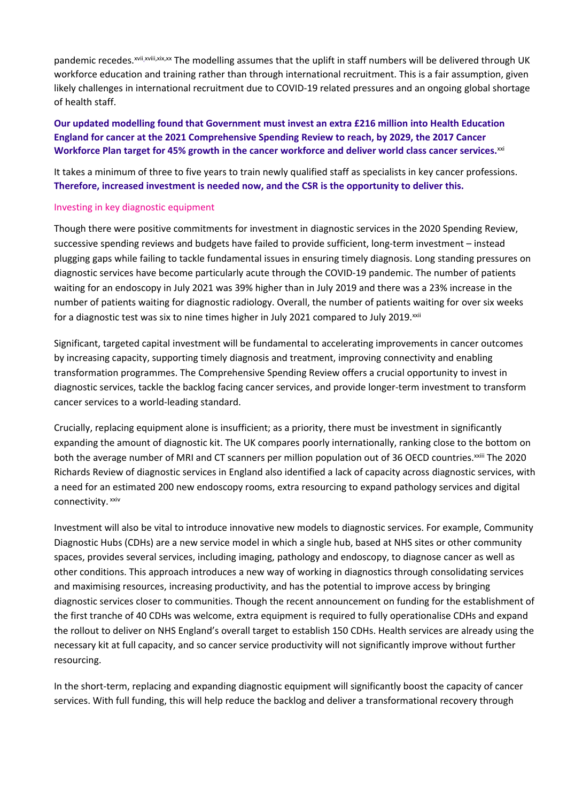pandemic recedes.<sup>xvii,xvii,xix,xx</sup> The modelling assumes that the uplift in staff numbers will be delivered through UK workforce education and training rather than through international recruitment. This is a fair assumption, given likely challenges in international recruitment due to COVID-19 related pressures and an ongoing global shortage of health staff.

## **Our updated modelling found that Government must invest an extra £216 million into Health Education England for cancer at the 2021 Comprehensive Spending Review to reach, by 2029, the 2017 Cancer Workforce Plan target for 45% growth in the cancer workforce and deliver world class cancer services.**xxi

It takes a minimum of three to five years to train newly qualified staff as specialists in key cancer professions. **Therefore, increased investment is needed now, and the CSR is the opportunity to deliver this.**

### Investing in key diagnostic equipment

Though there were positive commitments for investment in diagnostic services in the 2020 Spending Review, successive spending reviews and budgets have failed to provide sufficient, long-term investment – instead plugging gaps while failing to tackle fundamental issues in ensuring timely diagnosis. Long standing pressures on diagnostic services have become particularly acute through the COVID-19 pandemic. The number of patients waiting for an endoscopy in July 2021 was 39% higher than in July 2019 and there was a 23% increase in the number of patients waiting for diagnostic radiology. Overall, the number of patients waiting for over six weeks for a diagnostic test was six to nine times higher in July 2021 compared to July 2019.xxii

Significant, targeted capital investment will be fundamental to accelerating improvements in cancer outcomes by increasing capacity, supporting timely diagnosis and treatment, improving connectivity and enabling transformation programmes. The Comprehensive Spending Review offers a crucial opportunity to invest in diagnostic services, tackle the backlog facing cancer services, and provide longer-term investment to transform cancer services to a world-leading standard.

Crucially, replacing equipment alone is insufficient; as a priority, there must be investment in significantly expanding the amount of diagnostic kit. The UK compares poorly internationally, ranking close to the bottom on both the average number of MRI and CT scanners per million population out of 36 OECD countries.<sup>xxiii</sup> The 2020 Richards Review of diagnostic services in England also identified a lack of capacity across diagnostic services, with a need for an estimated 200 new endoscopy rooms, extra resourcing to expand pathology services and digital connectivity. xxiv

Investment will also be vital to introduce innovative new models to diagnostic services. For example, Community Diagnostic Hubs (CDHs) are a new service model in which a single hub, based at NHS sites or other community spaces, provides several services, including imaging, pathology and endoscopy, to diagnose cancer as well as other conditions. This approach introduces a new way of working in diagnostics through consolidating services and maximising resources, increasing productivity, and has the potential to improve access by bringing diagnostic services closer to communities. Though the recent announcement on funding for the establishment of the first tranche of 40 CDHs was welcome, extra equipment is required to fully operationalise CDHs and expand the rollout to deliver on NHS England's overall target to establish 150 CDHs. Health services are already using the necessary kit at full capacity, and so cancer service productivity will not significantly improve without further resourcing.

In the short-term, replacing and expanding diagnostic equipment will significantly boost the capacity of cancer services. With full funding, this will help reduce the backlog and deliver a transformational recovery through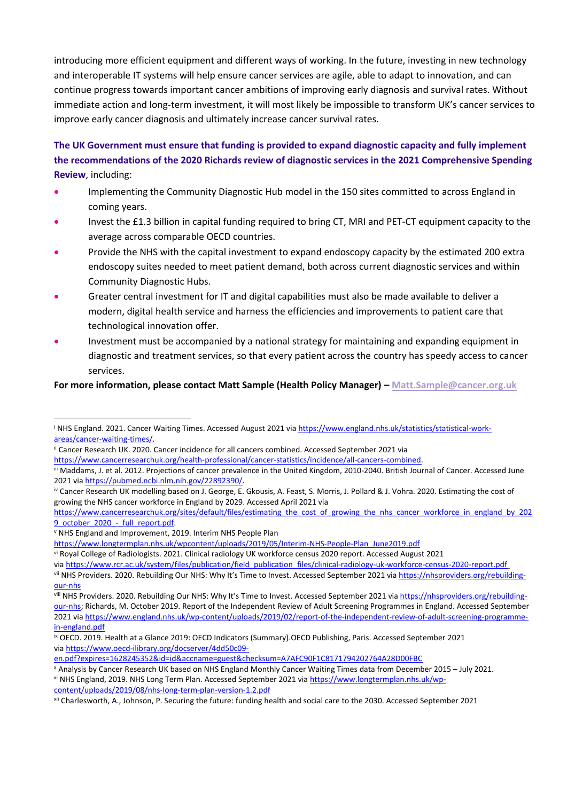introducing more efficient equipment and different ways of working. In the future, investing in new technology and interoperable IT systems will help ensure cancer services are agile, able to adapt to innovation, and can continue progress towards important cancer ambitions of improving early diagnosis and survival rates. Without immediate action and long-term investment, it will most likely be impossible to transform UK's cancer services to improve early cancer diagnosis and ultimately increase cancer survival rates.

# **The UK Government must ensure that funding is provided to expand diagnostic capacity and fully implement the recommendations of the 2020 Richards review of diagnostic services in the 2021 Comprehensive Spending Review**, including:

- Implementing the Community Diagnostic Hub model in the 150 sites committed to across England in coming years.
- Invest the £1.3 billion in capital funding required to bring CT, MRI and PET-CT equipment capacity to the average across comparable OECD countries.
- Provide the NHS with the capital investment to expand endoscopy capacity by the estimated 200 extra endoscopy suites needed to meet patient demand, both across current diagnostic services and within Community Diagnostic Hubs.
- Greater central investment for IT and digital capabilities must also be made available to deliver a modern, digital health service and harness the efficiencies and improvements to patient care that technological innovation offer.
- Investment must be accompanied by a national strategy for maintaining and expanding equipment in diagnostic and treatment services, so that every patient across the country has speedy access to cancer services.

**For more information, please contact Matt Sample (Health Policy Manager) – [Matt.Sample@cancer.org.uk](mailto:Matt.Sample@cancer.org.uk)**

<sup>v</sup> NHS England and Improvement, 2019. Interim NHS People Plan

```
https://www.longtermplan.nhs.uk/wpcontent/uploads/2019/05/Interim-NHS-People-Plan_June2019.pdf
```
vi Royal College of Radiologists. 2021. Clinical radiology UK workforce census 2020 report. Accessed August 2021

<sup>xi</sup> NHS England, 2019. NHS Long Term Plan. Accessed September 2021 via [https://www.longtermplan.nhs.uk/wp](https://www.longtermplan.nhs.uk/wp-content/uploads/2019/08/nhs-long-term-plan-version-1.2.pdf)[content/uploads/2019/08/nhs-long-term-plan-version-1.2.pdf](https://www.longtermplan.nhs.uk/wp-content/uploads/2019/08/nhs-long-term-plan-version-1.2.pdf)

<sup>&</sup>lt;sup>i</sup> NHS England. 2021. Cancer Waiting Times. Accessed August 2021 via [https://www.england.nhs.uk/statistics/statistical-work](https://www.england.nhs.uk/statistics/statistical-work-areas/cancer-waiting-times/)[areas/cancer-waiting-times/](https://www.england.nhs.uk/statistics/statistical-work-areas/cancer-waiting-times/).

ii Cancer Research UK. 2020. Cancer incidence for all cancers combined. Accessed September 2021 via

<https://www.cancerresearchuk.org/health-professional/cancer-statistics/incidence/all-cancers-combined>.

iii Maddams, J. et al. 2012. Projections of cancer prevalence in the United Kingdom, 2010-2040. British Journal of Cancer. Accessed June 2021 via [https://pubmed.ncbi.nlm.nih.gov/22892390/.](https://pubmed.ncbi.nlm.nih.gov/22892390/)

iv Cancer Research UK modelling based on J. George, E. Gkousis, A. Feast, S. Morris, J. Pollard & J. Vohra. 2020. Estimating the cost of growing the NHS cancer workforce in England by 2029. Accessed April 2021 via

[https://www.cancerresearchuk.org/sites/default/files/estimating\\_the\\_cost\\_of\\_growing\\_the\\_nhs\\_cancer\\_workforce\\_in\\_england\\_by\\_202](https://www.cancerresearchuk.org/sites/default/files/estimating_the_cost_of_growing_the_nhs_cancer_workforce_in_england_by_2029_october_2020_-_full_report.pdf) [9\\_october\\_2020\\_-\\_full\\_report.pdf.](https://www.cancerresearchuk.org/sites/default/files/estimating_the_cost_of_growing_the_nhs_cancer_workforce_in_england_by_2029_october_2020_-_full_report.pdf)

via [https://www.rcr.ac.uk/system/files/publication/field\\_publication\\_files/clinical-radiology-uk-workforce-census-2020-report.pdf](https://www.rcr.ac.uk/system/files/publication/field_publication_files/clinical-radiology-uk-workforce-census-2020-report.pdf)

vii NHS Providers. 2020. Rebuilding Our NHS: Why It's Time to Invest. Accessed September 2021 via [https://nhsproviders.org/rebuilding](https://nhsproviders.org/rebuilding-our-nhs)[our-nhs](https://nhsproviders.org/rebuilding-our-nhs)

viii NHS Providers. 2020. Rebuilding Our NHS: Why It's Time to Invest. Accessed September 2021 via [https://nhsproviders.org/rebuilding](https://nhsproviders.org/rebuilding-our-nhs)[our-nhs](https://nhsproviders.org/rebuilding-our-nhs); Richards, M. October 2019. Report of the Independent Review of Adult Screening Programmes in England. Accessed September 2021 via [https://www.england.nhs.uk/wp-content/uploads/2019/02/report-of-the-independent-review-of-adult-screening-programme](https://www.england.nhs.uk/wp-content/uploads/2019/02/report-of-the-independent-review-of-adult-screening-programme-in-england.pdf)[in-england.pdf](https://www.england.nhs.uk/wp-content/uploads/2019/02/report-of-the-independent-review-of-adult-screening-programme-in-england.pdf)

ix OECD. 2019. Health at a Glance 2019: OECD Indicators (Summary).OECD Publishing, Paris. Accessed September 2021 via [https://www.oecd-ilibrary.org/docserver/4dd50c09-](https://www.oecd-ilibrary.org/docserver/4dd50c09-en.pdf?expires=1628245352&id=id&accname=guest&checksum=A7AFC90F1C8171794202764A28D00FBC)

[en.pdf?expires=1628245352&id=id&accname=guest&checksum=A7AFC90F1C8171794202764A28D00FBC](https://www.oecd-ilibrary.org/docserver/4dd50c09-en.pdf?expires=1628245352&id=id&accname=guest&checksum=A7AFC90F1C8171794202764A28D00FBC)

<sup>x</sup> Analysis by Cancer Research UK based on NHS England Monthly Cancer Waiting Times data from December 2015 – July 2021.

xii Charlesworth, A., Johnson, P. Securing the future: funding health and social care to the 2030. Accessed September 2021